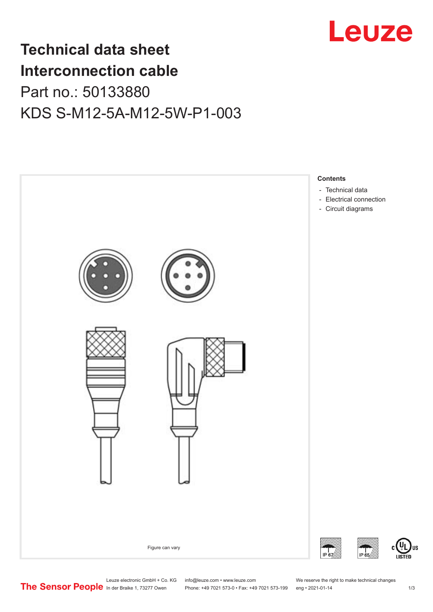

## **Technical data sheet Interconnection cable** Part no.: 50133880 KDS S-M12-5A-M12-5W-P1-003



Leuze electronic GmbH + Co. KG info@leuze.com • www.leuze.com We reserve the right to make technical changes<br>
The Sensor People in der Braike 1, 73277 Owen Phone: +49 7021 573-0 • Fax: +49 7021 573-199 eng • 2021-01-14

Phone: +49 7021 573-0 • Fax: +49 7021 573-199 eng • 2021-01-14 1 73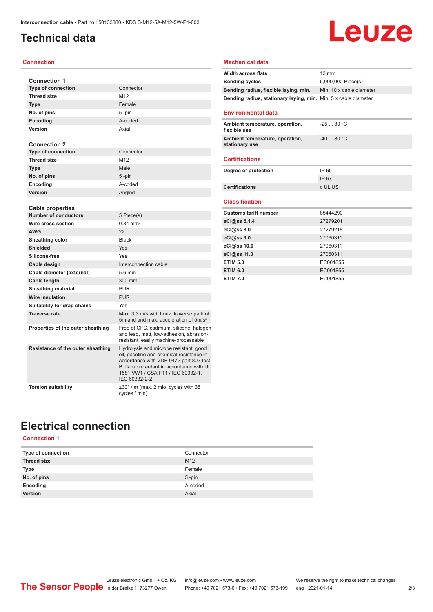## <span id="page-1-0"></span>**Technical data**

#### **Connection**

| <b>Connection 1</b>               |                                                                                                                                                                                                                                |
|-----------------------------------|--------------------------------------------------------------------------------------------------------------------------------------------------------------------------------------------------------------------------------|
| <b>Type of connection</b>         | Connector                                                                                                                                                                                                                      |
| <b>Thread size</b>                | M12                                                                                                                                                                                                                            |
| <b>Type</b>                       | Female                                                                                                                                                                                                                         |
| No. of pins                       | 5-pin                                                                                                                                                                                                                          |
| <b>Encoding</b>                   | A-coded                                                                                                                                                                                                                        |
| Version                           | Axial                                                                                                                                                                                                                          |
|                                   |                                                                                                                                                                                                                                |
| <b>Connection 2</b>               |                                                                                                                                                                                                                                |
| <b>Type of connection</b>         | Connector                                                                                                                                                                                                                      |
| <b>Thread size</b>                | M12                                                                                                                                                                                                                            |
| <b>Type</b>                       | Male                                                                                                                                                                                                                           |
| No. of pins                       | 5-pin                                                                                                                                                                                                                          |
| Encoding                          | A-coded                                                                                                                                                                                                                        |
| Version                           | Angled                                                                                                                                                                                                                         |
|                                   |                                                                                                                                                                                                                                |
| <b>Cable properties</b>           |                                                                                                                                                                                                                                |
| <b>Number of conductors</b>       | 5 Piece(s)                                                                                                                                                                                                                     |
| Wire cross section                | $0.34 \, \text{mm}^2$                                                                                                                                                                                                          |
| <b>AWG</b>                        | 22                                                                                                                                                                                                                             |
| Sheathing color                   | <b>Black</b>                                                                                                                                                                                                                   |
| <b>Shielded</b>                   | Yes                                                                                                                                                                                                                            |
| Silicone-free                     | Yes                                                                                                                                                                                                                            |
| Cable design                      | Interconnection cable                                                                                                                                                                                                          |
| Cable diameter (external)         | 5.6 mm                                                                                                                                                                                                                         |
| Cable length                      | 300 mm                                                                                                                                                                                                                         |
| <b>Sheathing material</b>         | <b>PUR</b>                                                                                                                                                                                                                     |
| <b>Wire insulation</b>            | <b>PUR</b>                                                                                                                                                                                                                     |
| Suitability for drag chains       | Yes                                                                                                                                                                                                                            |
| <b>Traverse rate</b>              | Max. 3.3 m/s with horiz. traverse path of<br>5m and and max. acceleration of 5m/s <sup>2</sup>                                                                                                                                 |
| Properties of the outer sheathing | Free of CFC, cadmium, silicone, halogen<br>and lead, matt, low-adhesion, abrasion-<br>resistant, easily machine-processable                                                                                                    |
| Resistance of the outer sheathing | Hydrolysis and microbe resistant, good<br>oil, gasoline and chemical resistance in<br>accordance with VDE 0472 part 803 test<br>B, flame retardant in accordance with UL<br>1581 VW1 / CSA FT1 / IEC 60332-1,<br>IEC 60332-2-2 |
| <b>Torsion suitability</b>        | $\pm 30^\circ$ / m (max. 2 mio. cycles with 35<br>cycles / min)                                                                                                                                                                |

#### **Mechanical data**

Leuze

## **Electrical connection**

#### **Connection 1**

| Type of connection | Connector       |
|--------------------|-----------------|
| <b>Thread size</b> | M <sub>12</sub> |
| <b>Type</b>        | Female          |
| No. of pins        | $5 - pin$       |
| Encoding           | A-coded         |
| Version            | Axial           |